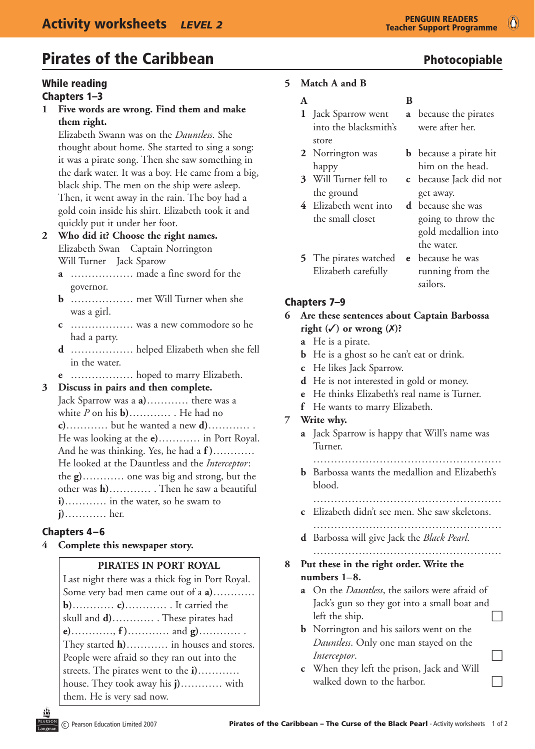# **Pirates of the Caribbean Photocopiable**

#### While reading Chapters 1–3

**1 Five words are wrong. Find them and make them right.**

 Elizabeth Swann was on the *Dauntless*. She thought about home. She started to sing a song: it was a pirate song. Then she saw something in the dark water. It was a boy. He came from a big, black ship. The men on the ship were asleep. Then, it went away in the rain. The boy had a gold coin inside his shirt. Elizabeth took it and quickly put it under her foot.

# **2 Who did it? Choose the right names.** Elizabeth Swan Captain Norrington

 Will Turner Jack Sparow

- **a** ……………… made a fine sword for the governor.
- **b** ……………… met Will Turner when she was a girl.
- **c** ……………… was a new commodore so he had a party.
- **d** ……………… helped Elizabeth when she fell in the water.
- **e** ……………… hoped to marry Elizabeth.
- **3 Discuss in pairs and then complete.**

Jack Sparrow was a **a)**………… there was a white *P* on his **b)**………… . He had no **c)**………… but he wanted a new **d)**………… . He was looking at the **e)**………… in Port Royal. And he was thinking. Yes, he had a **f )**………… He looked at the Dauntless and the *Interceptor*: the **g)**………… one was big and strong, but the other was **h)**………… . Then he saw a beautiful **i)**………… in the water, so he swam to **j)**………… her.

#### Chapters 4–6

**4 Complete this newspaper story.**

#### **PIRATES IN PORT ROYAL**

Last night there was a thick fog in Port Royal. Some very bad men came out of a **a)**………… **b)**………… **c)**………… . It carried the skull and **d)**………… . These pirates had **e)**…………, **f )**………… and **g)**………… . They started **h)**………… in houses and stores. People were afraid so they ran out into the streets. The pirates went to the **i)**………… house. They took away his **j)**………… with them. He is very sad now.

# **5 Match A and B**

- **1** Jack Sparrow went **a** because the pirates into the blacksmith's were after her. store
- 
- the ground get away.
- **4** Elizabeth went into **d** because she was
- **5** The pirates watched **e** because he was Elizabeth carefully running from the

# **A** B

- 
- **2** Norrington was **b** because a pirate hit happy him on the head.
- **3** Will Turner fell to **c** because Jack did not
	- the small closet going to throw the gold medallion into the water.
		- sailors.

# Chapters 7–9

### **6 Are these sentences about Captain Barbossa** *right*  $(\checkmark)$  or wrong  $(\checkmark)$ ?

- **a** He is a pirate.
- **b** He is a ghost so he can't eat or drink.
- **c** He likes Jack Sparrow.
- **d** He is not interested in gold or money.
- **e** He thinks Elizabeth's real name is Turner.
- **f** He wants to marry Elizabeth.

#### **7 Write why.**

**a** Jack Sparrow is happy that Will's name was Turner.

 ………………………………………………

**b** Barbossa wants the medallion and Elizabeth's blood.

 ………………………………………………

 ………………………………………………

- **c** Elizabeth didn't see men. She saw skeletons. ………………………………………………
- **d** Barbossa will give Jack the *Black Pearl*.

# **8 Put these in the right order. Write the numbers 1–8.**

- **a** On the *Dauntless*, the sailors were afraid of Jack's gun so they got into a small boat and left the ship.  $\Box$
- **b** Norrington and his sailors went on the *Dauntless*. Only one man stayed on the *Interceptor.*
- **c** When they left the prison, Jack and Will walked down to the harbor.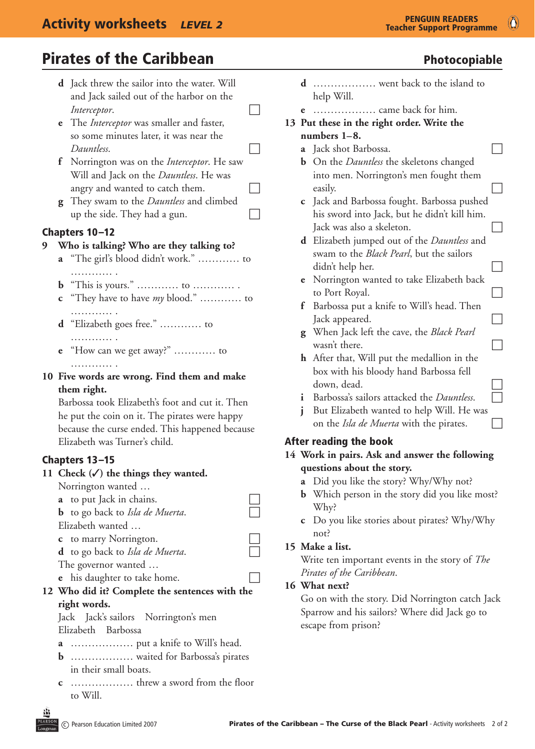# **Pirates of the Caribbean Photocopiable**

- **d** Jack threw the sailor into the water. Will and Jack sailed out of the harbor on the *Interceptor.*  $\Box$
- **e** The *Interceptor* was smaller and faster, so some minutes later, it was near the Dauntless.
- **f** Norrington was on the *Interceptor*. He saw Will and Jack on the *Dauntless*. He was angry and wanted to catch them.  $\Box$
- **g** They swam to the *Dauntless* and climbed up the side. They had a gun.  $\Box$

# Chapters 10–12

#### **9 Who is talking? Who are they talking to?**

- **a** "The girl's blood didn't work." ………… to . . . . . . . . . . .
- **b** "This is yours." ………… to ………… .
- **c** "They have to have *my* blood." ………… to . . . . . . . . . . . .
- **d** "Elizabeth goes free." ………… to …………
- **e** "How can we get away?" ………… to . . . . . . . . . . . .
- **10 Five words are wrong. Find them and make them right.**

 Barbossa took Elizabeth's foot and cut it. Then he put the coin on it. The pirates were happy because the curse ended. This happened because Elizabeth was Turner's child.

#### Chapters 13–15

#### 11 Check  $(\checkmark)$  the things they wanted.

 Norrington wanted …

**a** to put Jack in chains. **b** to go back to *Isla de Muerta*. Elizabeth wanted … **c** to marry Norrington. **d** to go back to *Isla de Muerta*. The governor wanted … **e** his daughter to take home. **12 Who did it? Complete the sentences with the**

#### **right words.** Jack Jack's sailors Norrington's men Elizabeth Barbossa

- **a** ……………… put a knife to Will's head.
- **b** ……………… waited for Barbossa's pirates in their small boats.
- **c** ……………… threw a sword from the floor to Will.
- 
- **d** ……………… went back to the island to help Will.
- **e** ……………… came back for him.
- **13 Put these in the right order. Write the numbers 1–8.**
	- **a** Jack shot Barbossa.
	- **b** On the *Dauntless* the skeletons changed into men. Norrington's men fought them easily.
	- **c** Jack and Barbossa fought. Barbossa pushed his sword into Jack, but he didn't kill him.  $\Box$  Jack was also a skeleton.
	- **d** Elizabeth jumped out of the *Dauntless* and swam to the *Black Pearl*, but the sailors didn't help her.
	- **e** Norrington wanted to take Elizabeth back to Port Royal.  $\Box$
	- **f** Barbossa put a knife to Will's head. Then  $\Box$  Jack appeared.
	- **g** When Jack left the cave, the *Black Pearl* wasn't there.  $\Box$
	- **h** After that, Will put the medallion in the box with his bloody hand Barbossa fell down, dead.
	- **i** Barbossa's sailors attacked the *Dauntless*.
	- **j** But Elizabeth wanted to help Will. He was on the *Isla de Muerta* with the pirates.

#### After reading the book

#### **14 Work in pairs. Ask and answer the following questions about the story.**

- **a** Did you like the story? Why/Why not?
- **b** Which person in the story did you like most? Why?
- **c** Do you like stories about pirates? Why/Why not?
- **15 Make a list.**

 Write ten important events in the story of *The Pirates of the Caribbean*.

#### **16 What next?**

 Go on with the story. Did Norrington catch Jack Sparrow and his sailors? Where did Jack go to escape from prison?